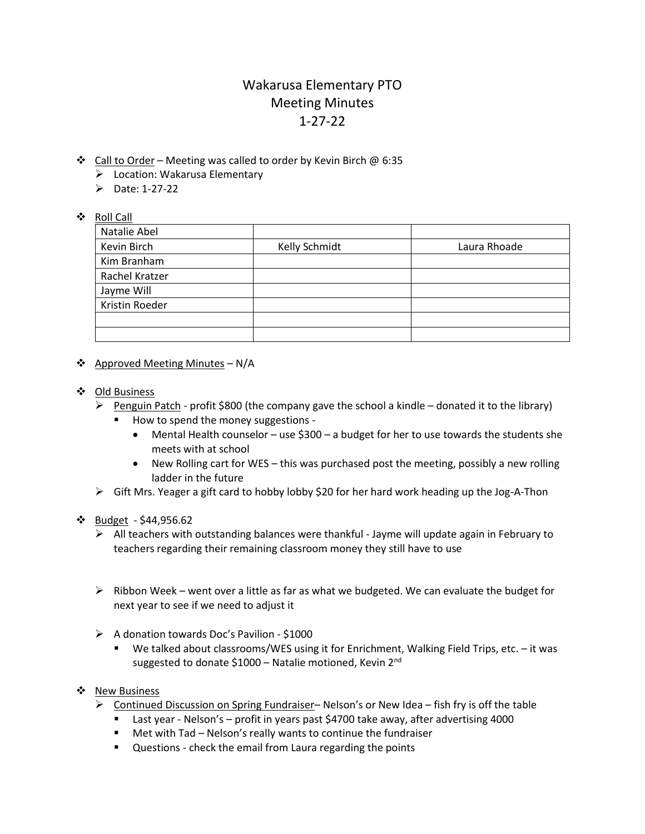## Wakarusa Elementary PTO Meeting Minutes 1-27-22

- ❖ Call to Order Meeting was called to order by Kevin Birch @ 6:35
	- ➢ Location: Wakarusa Elementary
	- $\triangleright$  Date: 1-27-22

## ❖ Roll Call

| Natalie Abel   |               |              |
|----------------|---------------|--------------|
| Kevin Birch    | Kelly Schmidt | Laura Rhoade |
| Kim Branham    |               |              |
| Rachel Kratzer |               |              |
| Jayme Will     |               |              |
| Kristin Roeder |               |              |
|                |               |              |
|                |               |              |

- ❖ Approved Meeting Minutes N/A
- ❖ Old Business
	- $\triangleright$  Penguin Patch profit \$800 (the company gave the school a kindle donated it to the library)
		- How to spend the money suggestions -
			- Mental Health counselor use \$300 a budget for her to use towards the students she meets with at school
			- New Rolling cart for WES this was purchased post the meeting, possibly a new rolling ladder in the future
	- $\triangleright$  Gift Mrs. Yeager a gift card to hobby lobby \$20 for her hard work heading up the Jog-A-Thon

## ❖ Budget - \$44,956.62

- $\triangleright$  All teachers with outstanding balances were thankful Jayme will update again in February to teachers regarding their remaining classroom money they still have to use
- ➢ Ribbon Week went over a little as far as what we budgeted. We can evaluate the budget for next year to see if we need to adjust it
- ➢ A donation towards Doc's Pavilion \$1000
	- We talked about classrooms/WES using it for Enrichment, Walking Field Trips, etc. it was suggested to donate \$1000 - Natalie motioned, Kevin 2<sup>nd</sup>
- ❖ New Business
	- $\triangleright$  Continued Discussion on Spring Fundraiser– Nelson's or New Idea fish fry is off the table
		- Last year Nelson's profit in years past \$4700 take away, after advertising 4000
		- Met with Tad Nelson's really wants to continue the fundraiser
		- Questions check the email from Laura regarding the points